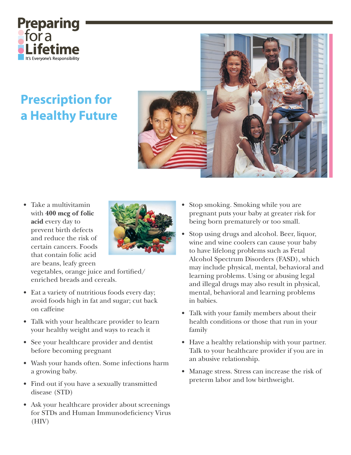

## **Prescription for** a Healthy Future



Take a multivitamin with 400 mcg of folic acid every day to prevent birth defects and reduce the risk of certain cancers. Foods that contain folic acid are beans, leafy green



vegetables, orange juice and fortified/ enriched breads and cereals.

- Eat a variety of nutritious foods every day; avoid foods high in fat and sugar; cut back on caffeine
- Talk with your healthcare provider to learn your healthy weight and ways to reach it
- See your healthcare provider and dentist before becoming pregnant
- Wash your hands often. Some infections harm a growing baby.
- Find out if you have a sexually transmitted disease (STD)
- Ask your healthcare provider about screenings for STDs and Human Immunodeficiency Virus  $(HIV)$
- Stop smoking. Smoking while you are pregnant puts your baby at greater risk for being born prematurely or too small.
- Stop using drugs and alcohol. Beer, liquor, wine and wine coolers can cause your baby to have lifelong problems such as Fetal Alcohol Spectrum Disorders (FASD), which may include physical, mental, behavioral and learning problems. Using or abusing legal and illegal drugs may also result in physical, mental, behavioral and learning problems in babies.
- Talk with your family members about their health conditions or those that run in your family
- Have a healthy relationship with your partner. Talk to your healthcare provider if you are in an abusive relationship.
- Manage stress. Stress can increase the risk of preterm labor and low birthweight.